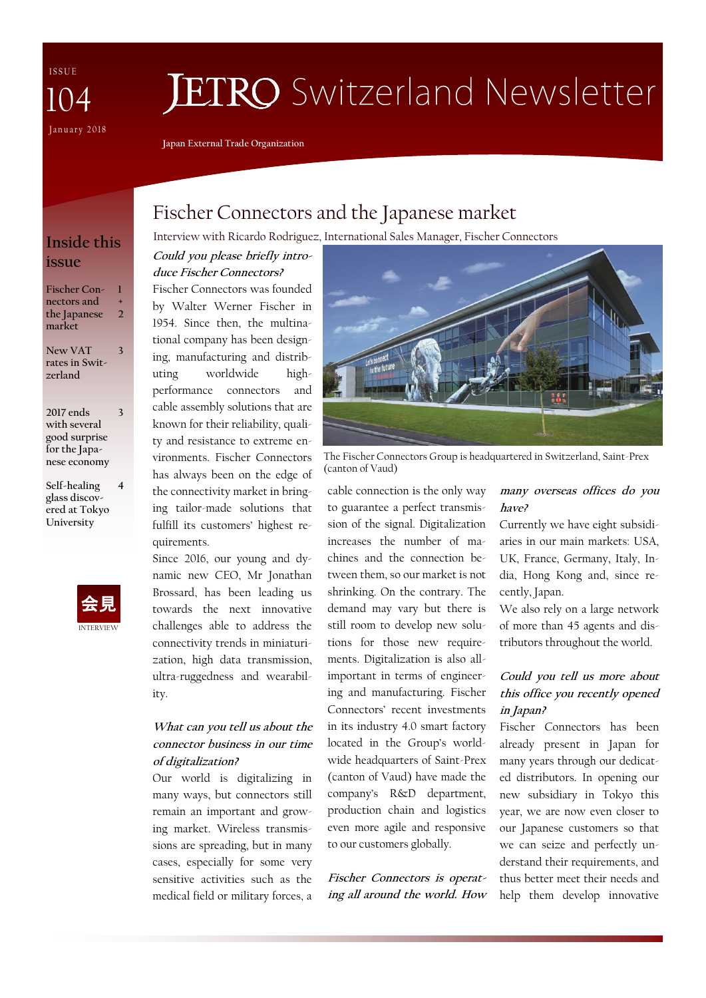I S S U E January 2018 104

# **JETRO** Switzerland Newsletter

**Japan External Trade Organization**

# **issue**

**Fischer Connectors and the Japanese market 2**

**1 +** 

**3**

**New VAT rates in Switzerland 3**

**2017 ends with several good surprise for the Japanese economy**

**Self-healing glass discovered at Tokyo University 4**



# Fischer Connectors and the Japanese market

Interview with Ricardo Rodriguez, International Sales Manager, Fischer Connectors **Inside this** 

**Could you please briefly introduce Fischer Connectors?** 

Fischer Connectors was founded by Walter Werner Fischer in 1954. Since then, the multinational company has been designing, manufacturing and distributing worldwide highperformance connectors and cable assembly solutions that are known for their reliability, quality and resistance to extreme environments. Fischer Connectors has always been on the edge of the connectivity market in bringing tailor-made solutions that fulfill its customers' highest requirements.

Since 2016, our young and dynamic new CEO, Mr Jonathan Brossard, has been leading us towards the next innovative challenges able to address the connectivity trends in miniaturization, high data transmission, ultra-ruggedness and wearability.

#### **What can you tell us about the connector business in our time of digitalization?**

Our world is digitalizing in many ways, but connectors still remain an important and growing market. Wireless transmissions are spreading, but in many cases, especially for some very sensitive activities such as the medical field or military forces, a



The Fischer Connectors Group is headquartered in Switzerland, Saint-Prex (canton of Vaud)

cable connection is the only way to guarantee a perfect transmission of the signal. Digitalization increases the number of machines and the connection between them, so our market is not shrinking. On the contrary. The demand may vary but there is still room to develop new solutions for those new requirements. Digitalization is also allimportant in terms of engineering and manufacturing. Fischer Connectors' recent investments in its industry 4.0 smart factory located in the Group's worldwide headquarters of Saint-Prex (canton of Vaud) have made the company's R&D department, production chain and logistics even more agile and responsive to our customers globally.

**Fischer Connectors is operating all around the world. How** 

#### **many overseas offices do you have?**

Currently we have eight subsidiaries in our main markets: USA, UK, France, Germany, Italy, India, Hong Kong and, since recently, Japan.

We also rely on a large network of more than 45 agents and distributors throughout the world.

#### **Could you tell us more about this office you recently opened in Japan?**

Fischer Connectors has been already present in Japan for many years through our dedicated distributors. In opening our new subsidiary in Tokyo this year, we are now even closer to our Japanese customers so that we can seize and perfectly understand their requirements, and thus better meet their needs and help them develop innovative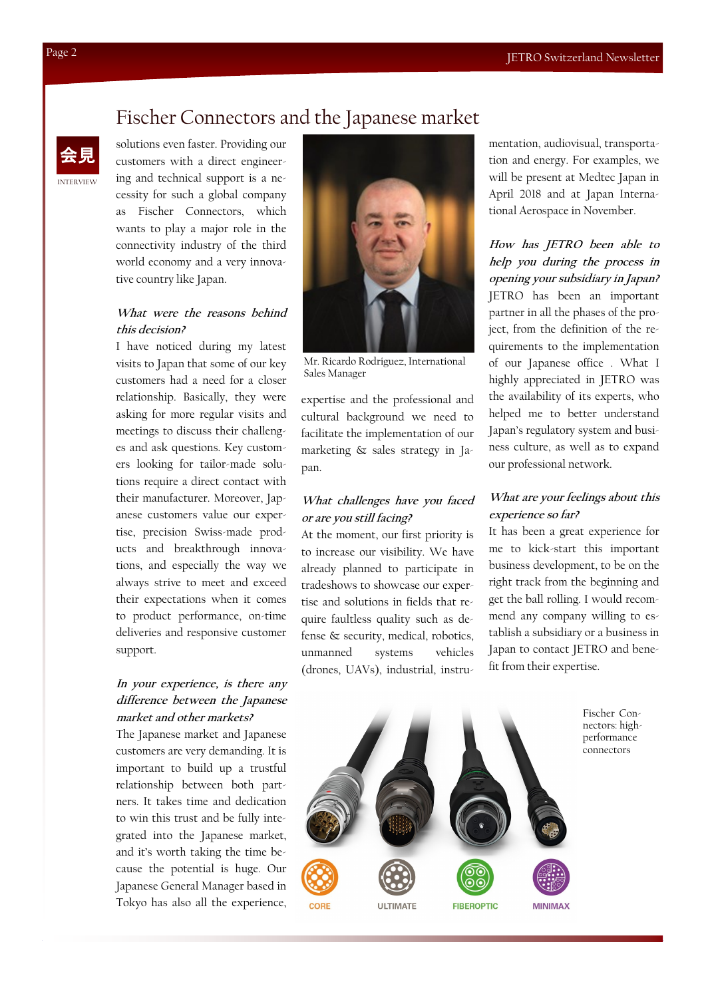### Fischer Connectors and the Japanese market

INTERVIEW

solutions even faster. Providing our customers with a direct engineering and technical support is a necessity for such a global company as Fischer Connectors, which wants to play a major role in the connectivity industry of the third world economy and a very innovative country like Japan.

#### **What were the reasons behind this decision?**

I have noticed during my latest visits to Japan that some of our key customers had a need for a closer relationship. Basically, they were asking for more regular visits and meetings to discuss their challenges and ask questions. Key customers looking for tailor-made solutions require a direct contact with their manufacturer. Moreover, Japanese customers value our expertise, precision Swiss-made products and breakthrough innovations, and especially the way we always strive to meet and exceed their expectations when it comes to product performance, on-time deliveries and responsive customer support.

#### **In your experience, is there any difference between the Japanese market and other markets?**

The Japanese market and Japanese customers are very demanding. It is important to build up a trustful relationship between both partners. It takes time and dedication to win this trust and be fully integrated into the Japanese market, and it's worth taking the time because the potential is huge. Our Japanese General Manager based in Tokyo has also all the experience,



Mr. Ricardo Rodriguez, International Sales Manager

expertise and the professional and cultural background we need to facilitate the implementation of our marketing & sales strategy in Japan.

#### **What challenges have you faced or are you still facing?**

At the moment, our first priority is to increase our visibility. We have already planned to participate in tradeshows to showcase our expertise and solutions in fields that require faultless quality such as defense & security, medical, robotics, unmanned systems vehicles (drones, UAVs), industrial, instrumentation, audiovisual, transportation and energy. For examples, we will be present at Medtec Japan in April 2018 and at Japan International Aerospace in November.

#### **How has JETRO been able to help you during the process in opening your subsidiary in Japan?** JETRO has been an important partner in all the phases of the project, from the definition of the requirements to the implementation of our Japanese office . What I highly appreciated in JETRO was the availability of its experts, who helped me to better understand Japan's regulatory system and business culture, as well as to expand our professional network.

#### **What are your feelings about this experience so far?**

It has been a great experience for me to kick-start this important business development, to be on the right track from the beginning and get the ball rolling. I would recommend any company willing to establish a subsidiary or a business in Japan to contact JETRO and benefit from their expertise.

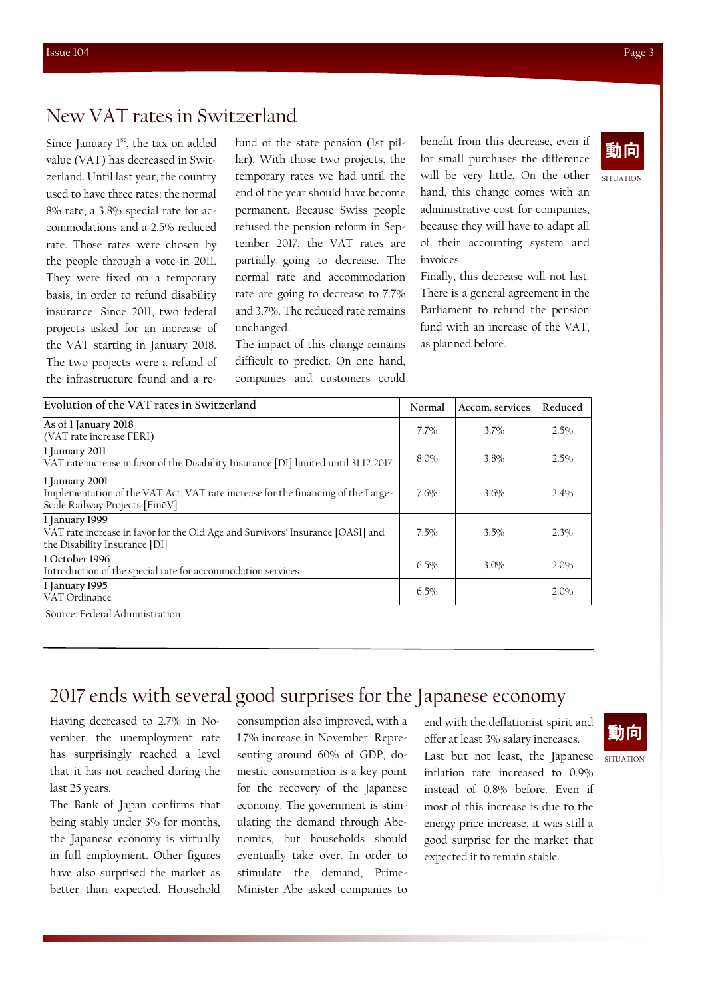#### New VAT rates in Switzerland

Since January  $1<sup>st</sup>$ , the tax on added value (VAT) has decreased in Switzerland. Until last year, the country used to have three rates: the normal 8% rate, a 3.8% special rate for accommodations and a 2.5% reduced rate. Those rates were chosen by the people through a vote in 2011. They were fixed on a temporary basis, in order to refund disability insurance. Since 2011, two federal projects asked for an increase of the VAT starting in January 2018. The two projects were a refund of the infrastructure found and a refund of the state pension (1st pillar). With those two projects, the temporary rates we had until the end of the year should have become permanent. Because Swiss people refused the pension reform in September 2017, the VAT rates are partially going to decrease. The normal rate and accommodation rate are going to decrease to 7.7% and 3.7%. The reduced rate remains unchanged.

The impact of this change remains difficult to predict. On one hand, companies and customers could

benefit from this decrease, even if for small purchases the difference will be very little. On the other hand, this change comes with an administrative cost for companies, because they will have to adapt all of their accounting system and invoices.

Finally, this decrease will not last. There is a general agreement in the Parliament to refund the pension fund with an increase of the VAT, as planned before.

| Evolution of the VAT rates in Switzerland                                                                                            | Normal  | Accom, services | Reduced |
|--------------------------------------------------------------------------------------------------------------------------------------|---------|-----------------|---------|
| As of 1 January 2018<br>(VAT rate increase FERI)                                                                                     | $7.7\%$ | $3.7\%$         | $2.5\%$ |
| 1 January 2011<br>VAT rate increase in favor of the Disability Insurance [DI] limited until 31.12.2017                               | 8.0%    | $3.8\%$         | 2.5%    |
| 1 January 2001<br>Implementation of the VAT Act; VAT rate increase for the financing of the Large-<br>Scale Railway Projects [FinoV] | $7.6\%$ | $3.6\%$         | $2.4\%$ |
| 1 January 1999<br>VAT rate increase in favor for the Old Age and Survivors' Insurance [OASI] and<br>the Disability Insurance [DI]    | $7.5\%$ | 3.5%            | 2.3%    |
| 11 October 1996<br>Introduction of the special rate for accommodation services                                                       | $6.5\%$ | $3.0\%$         | $2.0\%$ |
| 1 January 1995<br>VAT Ordinance                                                                                                      | $6.5\%$ |                 | $2.0\%$ |

Source: Federal Administration

## 2017 ends with several good surprises for the Japanese economy

Having decreased to 2.7% in November, the unemployment rate has surprisingly reached a level that it has not reached during the last 25 years.

The Bank of Japan confirms that being stably under 3% for months, the Japanese economy is virtually in full employment. Other figures have also surprised the market as better than expected. Household consumption also improved, with a 1.7% increase in November. Representing around 60% of GDP, domestic consumption is a key point for the recovery of the Japanese economy. The government is stimulating the demand through Abenomics, but households should eventually take over. In order to stimulate the demand, Prime-Minister Abe asked companies to end with the deflationist spirit and offer at least 3% salary increases. Last but not least, the Japanese inflation rate increased to 0.9% instead of 0.8% before. Even if most of this increase is due to the energy price increase, it was still a good surprise for the market that expected it to remain stable.